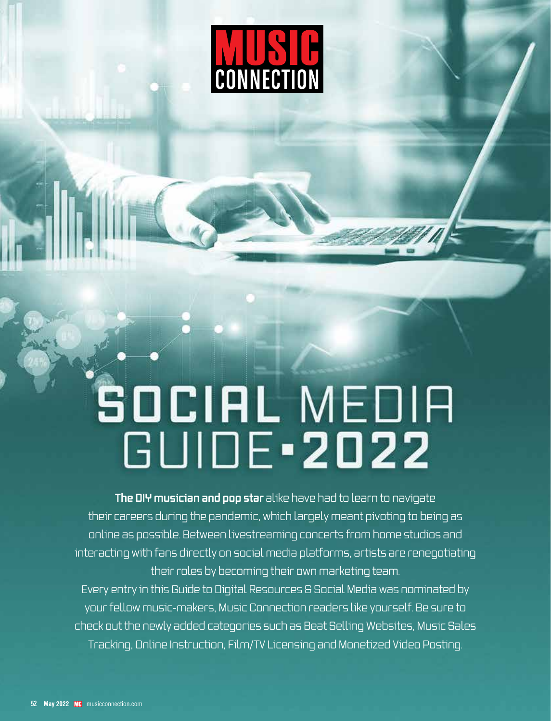

# SOCIAL MEDIA<br>GUIDE 2022

**The DIY musician and pop star** alike have had to learn to navigate their careers during the pandemic, which largely meant pivoting to being as online as possible. Between livestreaming concerts from home studios and interacting with fans directly on social media platforms, artists are renegotiating their roles by becoming their own marketing team. Every entry in this Guide to Digital Resources & Social Media was nominated by your fellow music-makers, Music Connection readers like yourself. Be sure to check out the newly added categories such as Beat Selling Websites, Music Sales Tracking, Online Instruction, Film/TV Licensing and Monetized Video Posting.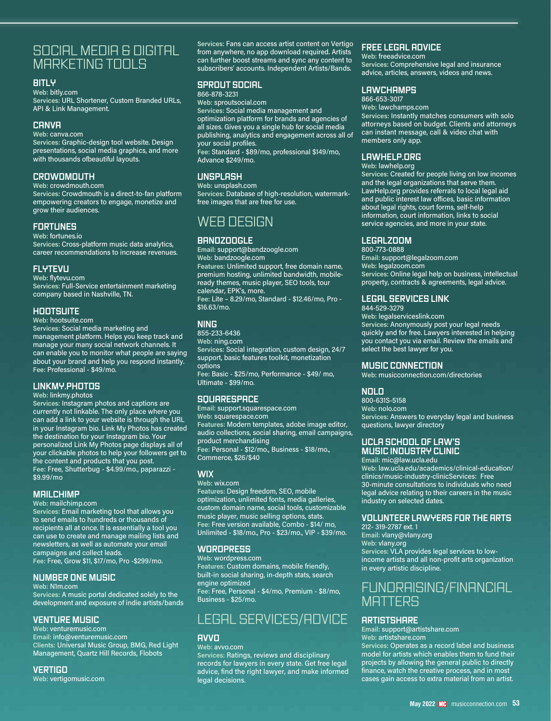# SOCIAL MEDIA & DIGITAL MARKETING TOOLS

#### **BITLY**

**Web:** bitly.com **Services:** URL Shortener, Custom Branded URLs, API & Link Management.

#### **CANVA**

**Web:** canva.com

**Services:** Graphic-design tool website. Design presentations, social media graphics, and more with thousands ofbeautiful layouts.

## **CROWDMOUTH**

**Web:** crowdmouth.com **Services:** Crowdmouth is a direct-to-fan platform empowering creators to engage, monetize and grow their audiences.

## **FORTUNES**

#### **Web:** fortunes.io

**Services:** Cross-platform music data analytics, career recommendations to increase revenues.

#### **FLYTEVU**

**Web:** flytevu.com **Services:** Full-Service entertainment marketing company based in Nashville, TN.

#### **HOOTSUITE**

**Web:** hootsuite.com

**Services:** Social media marketing and management platform. Helps you keep track and manage your many social network channels. It can enable you to monitor what people are saying about your brand and help you respond instantly. **Fee:** Professional - \$49/mo.

#### **LINKMY.PHOTOS**

#### **Web:** linkmy.photos

**Services:** Instagram photos and captions are currently not linkable. The only place where you can add a link to your website is through the URL in your Instagram bio. Link My Photos has created the destination for your Instagram bio. Your personalized Link My Photos page displays all of your clickable photos to help your followers get to the content and products that you post. **Fee:** Free, Shutterbug - \$4.99/mo., paparazzi - \$9.99/mo

#### **MAILCHIMP**

**Web:** mailchimp.com

**Services:** Email marketing tool that allows you to send emails to hundreds or thousands of recipients all at once. It is essentially a tool you can use to create and manage mailing lists and newsletters, as well as automate your email campaigns and collect leads. **Fee:** Free, Grow \$11, \$17/mo, Pro -\$299/mo.

# **NUMBER ONE MUSIC**

**Web:** N1m.com

**Services:** A music portal dedicated solely to the development and exposure of indie artists/bands

#### **VENTURE MUSIC**

**Web:** venturemusic.com **Email:** info@venturemusic.com **Clients:** Universal Music Group, BMG, Red Light Management, Quartz Hill Records, Flobots

#### **VERTIGO**

**Web:** vertigomusic.com

**Services:** Fans can access artist content on Vertigo from anywhere, no app download required. Artists can further boost streams and sync any content to subscribers' accounts. Independent Artists/Bands.

# **SPROUT SOCIAL**

866-878-3231

**Web:** sproutsocial.com **Services:** Social media management and optimization platform for brands and agencies of all sizes. Gives you a single hub for social media publishing, analytics and engagement across all of your social profiles. **Fee:** Standard - \$89/mo, professional \$149/mo, Advance \$249/mo.

# **UNSPLASH**

**Web:** unsplash.com **Services:** Database of high-resolution, watermarkfree images that are free for use.

# WEB DESIGN

#### **BANDZOOGLE**

**Email:** support@bandzoogle.com **Web:** bandzoogle.com **Features:** Unlimited support, free domain name, premium hosting, unlimited bandwidth, mobileready themes, music player, SEO tools, tour calendar, EPK's, more. **Fee:** Lite – 8.29/mo, Standard - \$12.46/mo, Pro - \$16.63/mo.

## **NING**

855-233-6436 **Web:** ning.com **Services:** Social integration, custom design, 24/7 support, basic features toolkit, monetization options **Fee:** Basic - \$25/mo, Performance - \$49/ mo, Ultimate - \$99/mo.

# **SQUARESPACE**

**Email:** support.squarespace.com **Web:** squarespace.com **Features:** Modern templates, adobe image editor, audio collections, social sharing, email campaigns, product merchandising **Fee:** Personal - \$12/mo., Business - \$18/mo., Commerce, \$26/\$40

#### **WIX**

**Web:** wix.com

**Features:** Design freedom, SEO, mobile optimization, unlimited fonts, media galleries, custom domain name, social tools, customizable music player, music selling options, stats. **Fee:** Free version available, Combo - \$14/ mo, Unlimited - \$18/mo., Pro - \$23/mo., VIP - \$39/mo.

# **WORDPRESS**

**Web:** wordpress.com **Features:** Custom domains, mobile friendly, built-in social sharing, in-depth stats, search engine optimized **Fee:** Free, Personal - \$4/mo, Premium - \$8/mo, Business - \$25/mo.

# LEGAL SERVICES/ADVICE

## **AVVO**

**Web:** avvo.com **Services:** Ratings, reviews and disciplinary records for lawyers in every state. Get free legal advice, find the right lawyer, and make informed legal decisions.

# **FREE LEGAL ADVICE**

**Web:** freeadvice.com **Services:** Comprehensive legal and insurance advice, articles, answers, videos and news.

## **LAWCHAMPS**

866-653-3017 **Web:** lawchamps.com

**Services:** Instantly matches consumers with solo attorneys based on budget. Clients and attorneys can instant message, call & video chat with members only app.

#### **LAWHELP.ORG**

**Web:** lawhelp.org

**Services:** Created for people living on low incomes and the legal organizations that serve them. LawHelp.org provides referrals to local legal aid and public interest law offices, basic information about legal rights, court forms, self-help information, court information, links to social service agencies, and more in your state.

#### **LEGALZOOM**

800-773-0888 **Email:** support@legalzoom.com **Web:** legalzoom.com **Services:** Online legal help on business, intellectual property, contracts & agreements, legal advice.

#### **LEGAL SERVICES LINK**

844-529-3279 **Web:** legalserviceslink.com **Services:** Anonymously post your legal needs quickly and for free. Lawyers interested in helping you contact you via email. Review the emails and select the best lawyer for you.

#### **MUSIC CONNECTION**

**Web:** musicconnection.com/directories

#### **NOLO**

800-631S-5158 **Web:** nolo.com **Services:** Answers to everyday legal and business questions, lawyer directory

## **UCLA SCHOOL OF LAW'S MUSIC INDUSTRY CLINIC**

**Email:** mic@law.ucla.edu **Web:** law.ucla.edu/academics/clinical-education/ clinics/music-industry-clinicServices: Free 30-minute consultations to individuals who need legal advice relating to their careers in the music industry on selected dates.

#### **VOLUNTEER LAWYERS FOR THE ARTS**

212- 319-2787 ext. 1 **Email:** vlany@vlany.org **Web:** vlany.org **Services:** VLA provides legal services to lowincome artists and all non-profit arts organization in every artistic discipline.

# FUNDRAISING/FINANCIAL **MATTERS**

#### **ARTISTSHARE**

**Email:** support@artistshare.com **Web:** artistshare.com **Services:** Operates as a record label and business

model for artists which enables them to fund their projects by allowing the general public to directly finance, watch the creative process, and in most cases gain access to extra material from an artist.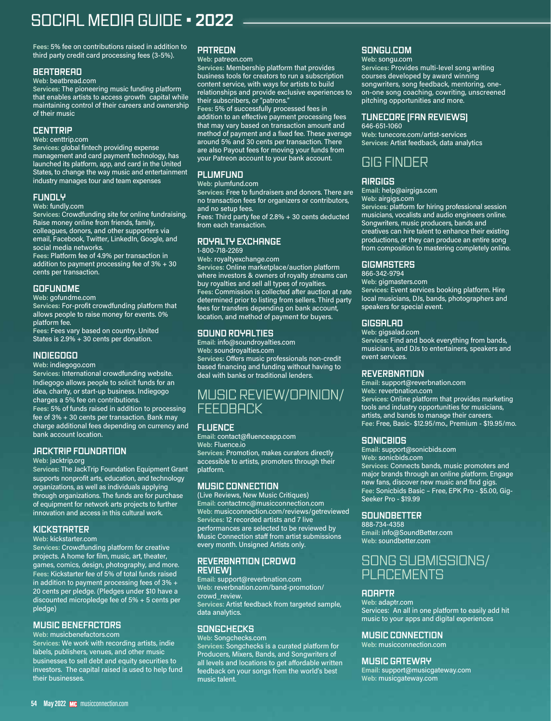# SOCIAL MEDIA GUIDE • **2022**

**Fees:** 5% fee on contributions raised in addition to third party credit card processing fees (3-5%).

#### **BEATBREAD**

#### **Web:** beatbread.com

**Services:** The pioneering music funding platform that enables artists to access growth capital while maintaining control of their careers and ownership of their music

#### **CENTTRIP**

**Web:** centtrip.com

**Services:** global fintech providing expense management and card payment technology, has launched its platform, app, and card in the United States, to change the way music and entertainment industry manages tour and team expenses

#### **FUNDLY**

**Web:** fundly.com

**Services:** Crowdfunding site for online fundraising. Raise money online from friends, family, colleagues, donors, and other supporters via email, Facebook, Twitter, LinkedIn, Google, and social media networks.

**Fees:** Platform fee of 4.9% per transaction in addition to payment processing fee of 3% + 30 cents per transaction.

# **GOFUNDME**

**Web:** gofundme.com

**Services:** For-profit crowdfunding platform that allows people to raise money for events. 0% platform fee.

**Fees:** Fees vary based on country. United States is 2.9% + 30 cents per donation.

# **INDIEGOGO**

**Web:** indiegogo.com

**Services:** International crowdfunding website. Indiegogo allows people to solicit funds for an idea, charity, or start-up business. Indiegogo charges a 5% fee on contributions. **Fees:** 5% of funds raised in addition to processing fee of 3% + 30 cents per transaction. Bank may charge additional fees depending on currency and bank account location.

# **JACKTRIP FOUNDATION**

#### **Web:** jacktrip.org

**Services:** The JackTrip Foundation Equipment Grant supports nonprofit arts, education, and technology organizations, as well as individuals applying through organizations. The funds are for purchase of equipment for network arts projects to further innovation and access in this cultural work.

# **KICKSTARTER**

**Web:** kickstarter.com

**Services:** Crowdfunding platform for creative projects. A home for film, music, art, theater, games, comics, design, photography, and more. **Fees:** Kickstarter fee of 5% of total funds raised in addition to payment processing fees of 3% + 20 cents per pledge. (Pledges under \$10 have a discounted micropledge fee of 5% + 5 cents per pledge)

#### **MUSIC BENEFACTORS**

**Web:** musicbenefactors.com

**Services:** We work with recording artists, indie labels, publishers, venues, and other music businesses to sell debt and equity securities to investors. The capital raised is used to help fund their businesses.

# **PATREON**

**Web:** patreon.com

**Services:** Membership platform that provides business tools for creators to run a subscription content service, with ways for artists to build relationships and provide exclusive experiences to their subscribers, or "patrons."

**Fees:** 5% of successfully processed fees in addition to an effective payment processing fees that may vary based on transaction amount and method of payment and a fixed fee. These average around 5% and 30 cents per transaction. There are also Payout fees for moving your funds from your Patreon account to your bank account.

## **PLUMFUND**

**Web:** plumfund.com

**Services:** Free to fundraisers and donors. There are no transaction fees for organizers or contributors, and no setup fees.

Fees: Third party fee of 2.8% + 30 cents deducted from each transaction.

#### **ROYALTY EXCHANGE** 1-800-718-2269

**Web:** royaltyexchange.com **Services:** Online marketplace/auction platform where investors & owners of royalty streams can buy royalties and sell all types of royalties. **Fees:** Commission is collected after auction at rate determined prior to listing from sellers. Third party fees for transfers depending on bank account, location, and method of payment for buyers.

# **SOUND ROYALTIES**

**Email:** info@soundroyalties.com **Web:** soundroyalties.com **Services:** Offers music professionals non-credit based financing and funding without having to deal with banks or traditional lenders.

# MUSIC REVIEW/OPINION/ FEEDBACK<sup>'</sup>

# **FLUENCE**

**Email:** contact@fluenceapp.com **Web:** Fluence.io **Services:** Promotion, makes curators directly accessible to artists, promoters through their platform.

# **MUSIC CONNECTION**

(Live Reviews, New Music Critiques) **Email:** contactmc@musicconnection.com **Web:** musicconnection.com/reviews/getreviewed **Services:** 12 recorded artists and 7 live performances are selected to be reviewed by Music Connection staff from artist submissions every month. Unsigned Artists only.

#### **REVERBNATION (CROWD REVIEW)**

**Email:** support@reverbnation.com **Web:** reverbnation.com/band-promotion/ crowd\_review. **Services:** Artist feedback from targeted sample, data analytics.

# **SONGCHECKS**

**Web:** Songchecks.com **Services:** Songchecks is a curated platform for Producers, Mixers, Bands, and Songwriters of all levels and locations to get affordable written feedback on your songs from the world's best music talent.

# **SONGU.COM**

**Web:** songu.com

**Services:** Provides multi-level song writing courses developed by award winning songwriters, song feedback, mentoring, oneon-one song coaching, cowriting, unscreened pitching opportunities and more.

# **TUNECORE (FAN REVIEWS)**

646-651-1060 **Web:** tunecore.com/artist-services **Services:** Artist feedback, data analytics

# GIG FINDER

#### **AIRGIGS**

**Email:** help@airgigs.com

**Web:** airgigs.com **Services:** platform for hiring professional session musicians, vocalists and audio engineers online. Songwriters, music producers, bands and creatives can hire talent to enhance their existing productions, or they can produce an entire song from composition to mastering completely online.

# **GIGMASTERS**

866-342-9794 **Web:** gigmasters.com **Services:** Event services booking platform. Hire local musicians, DJs, bands, photographers and speakers for special event.

# **GIGSALAD**

**Web:** gigsalad.com **Services:** Find and book everything from bands, musicians, and DJs to entertainers, speakers and event services.

# **REVERBNATION**

**Email:** support@reverbnation.com **Web:** reverbnation.com **Services:** Online platform that provides marketing tools and industry opportunities for musicians, artists, and bands to manage their careers. **Fee:** Free, Basic- \$12.95/mo., Premium - \$19.95/mo.

# **SONICBIDS**

**Email:** support@sonicbids.com **Web:** sonicbids.com **Services:** Connects bands, music promoters and major brands through an online platform. Engage new fans, discover new music and find gigs. **Fee:** Sonicbids Basic – Free, EPK Pro - \$5.00, Gig-Seeker Pro - \$19.99

# **SOUNDBETTER**

888-734-4358 **Email:** info@SoundBetter.com **Web:** soundbetter.com

# SONG SUBMISSIONS/ PLACEMENTS

# **ADAPTR**

**Web:** adaptr.com Services: An all in one platform to easily add hit music to your apps and digital experiences

# **MUSIC CONNECTION**

**Web:** musicconnection.com

# **MUSIC GATEWAY**

**Email:** support@musicgateway.com **Web:** musicgateway.com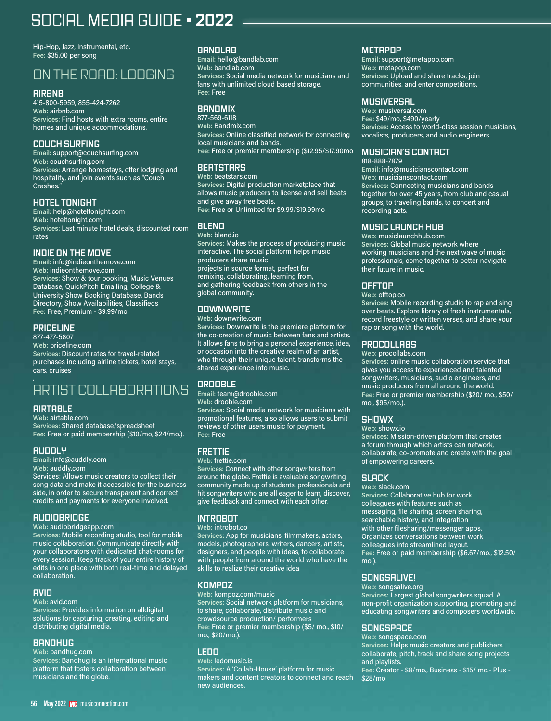# SOCIAL MEDIA GUIDE • **2022**

Hip-Hop, Jazz, Instrumental, etc. **Fee:** \$35.00 per song

# ON THE ROAD: LODGING

#### **AIRBNB**

415-800-5959, 855-424-7262 **Web:** airbnb.com **Services:** Find hosts with extra rooms, entire homes and unique accommodations.

#### **COUCH SURFING**

**Email:** support@couchsurfing.com **Web:** couchsurfing.com **Services:** Arrange homestays, offer lodging and hospitality, and join events such as "Couch Crashes."

# **HOTEL TONIGHT**

**Email:** help@hoteltonight.com **Web:** hoteltonight.com **Services:** Last minute hotel deals, discounted room rates

#### **INDIE ON THE MOVE**

**Email:** info@indieonthemove.com **Web:** indieonthemove.com **Services:** Show & tour booking, Music Venues Database, QuickPitch Emailing, College & University Show Booking Database, Bands Directory, Show Availabilities, Classifieds **Fee:** Free, Premium - \$9.99/mo.

# **PRICELINE**

877-477-5807 **Web:** priceline.com **Services:** Discount rates for travel-related purchases including airline tickets, hotel stays, cars, cruises

# ARTIST COLLABORATIONS

# **AIRTABLE**

**Web:** airtable.com **Services:** Shared database/spreadsheet **Fee:** Free or paid membership (\$10/mo, \$24/mo.).

#### **AUDDLY**

**Email:** info@auddly.com

**Web:** auddly.com

Services: Allows music creators to collect their song data and make it accessible for the business side, in order to secure transparent and correct credits and payments for everyone involved.

#### **AUDIOBRIDGE**

**Web:** audiobridgeapp.com

**Services:** Mobile recording studio, tool for mobile music collaboration. Communicate directly with your collaborators with dedicated chat-rooms for every session. Keep track of your entire history of edits in one place with both real-time and delayed collaboration.

#### **AVID**

**Web:** avid.com

**Services:** Provides information on alldigital solutions for capturing, creating, editing and distributing digital media.

#### **BANDHUG**

**Web:** bandhug.com

**Services:** Bandhug is an international music platform that fosters collaboration between musicians and the globe.

# **BANDLAB**

**Email:** hello@bandlab.com **Web:** bandlab.com **Services:** Social media network for musicians and fans with unlimited cloud based storage. **Fee:** Free

# **BANDMIX**

877-569-6118 **Web:** Bandmix.com **Services:** Online classified network for connecting local musicians and bands. **Fee:** Free or premier membership (\$12.95/\$17.90mo

# **BEATSTARS**

**Web:** beatstars.com **Services:** Digital production marketplace that allows music producers to license and sell beats and give away free beats. **Fee:** Free or Unlimited for \$9.99/\$19.99mo

**BLEND**

**Web:** blend.io **Services:** Makes the process of producing music interactive. The social platform helps music producers share music projects in source format, perfect for remixing, collaborating, learning from, and gathering feedback from others in the global community.

# **DOWNWRITE**

**Web:** downwrite.com

**Services:** Downwrite is the premiere platform for the co-creation of music between fans and artists. It allows fans to bring a personal experience, idea, or occasion into the creative realm of an artist, who through their unique talent, transforms the shared experience into music.

# **DROOBLE**

**Email:** team@drooble.com **Web:** drooble.com **Services:** Social media network for musicians with promotional features, also allows users to submit reviews of other users music for payment. **Fee:** Free

#### **FRETTIE**

**Web:** frettie.com **Services:** Connect with other songwriters from around the globe. Frettie is avaluable songwriting community made up of students, professionals and hit songwriters who are all eager to learn, discover, give feedback and connect with each other.

#### **INTROBOT**

**Web:** introbot.co **Services:** App for musicians, filmmakers, actors, models, photographers, writers, dancers, artists, designers, and people with ideas, to collaborate with people from around the world who have the skills to realize their creative idea

#### **KOMPOZ**

**Web:** kompoz.com/music **Services:** Social network platform for musicians, to share, collaborate, distribute music and crowdsource production/ performers **Fee:** Free or premier membership (\$5/ mo., \$10/ mo., \$20/mo.).

# **LEDO**

**Web:** ledomusic.is **Services:** A 'Collab-House' platform for music makers and content creators to connect and reach new audiences.

# **METAPOP**

**Email:** support@metapop.com **Web:** metapop.com **Services:** Upload and share tracks, join communities, and enter competitions.

# **MUSIVERSAL**

**Web:** musiversal.com **Fee:** \$49/mo, \$490/yearly **Services:** Access to world-class session musicians, vocalists, producers, and audio engineers

## **MUSICIAN'S CONTACT**

818-888-7879 **Email:** info@musicianscontact.com **Web:** musicianscontact.com **Services:** Connecting musicians and bands together for over 45 years, from club and casual groups, to traveling bands, to concert and recording acts.

#### **MUSIC LAUNCH HUB**

**Web:** musiclaunchhub.com **Services:** Global music network where working musicians and the next wave of music professionals, come together to better navigate their future in music.

#### **OFFTOP**

**Web:** offtop.co

**Services:** Mobile recording studio to rap and sing over beats. Explore library of fresh instrumentals, record freestyle or written verses, and share your rap or song with the world.

## **PROCOLLABS**

**Web:** procollabs.com

**Services:** online music collaboration service that gives you access to experienced and talented songwriters, musicians, audio engineers, and music producers from all around the world. **Fee:** Free or premier membership (\$20/ mo., \$50/ mo., \$95/mo.).

# **SHOWX**

**Web:** showx.io

**Services:** Mission-driven platform that creates a forum through which artists can network, collaborate, co-promote and create with the goal of empowering careers.

# **SLACK**

**Web:** slack.com **Services:** Collaborative hub for work colleagues with features such as messaging, file sharing, screen sharing, searchable history, and integration with other filesharing/messenger apps. Organizes conversations between work colleagues into streamlined layout. **Fee:** Free or paid membership (\$6.67/mo., \$12.50/ mo.).

# **SONGSALIVE!**

**Web:** songsalive.org **Services:** Largest global songwriters squad. A non-profit organization supporting, promoting and educating songwriters and composers worldwide.

# **SONGSPACE**

**Web:** songspace.com **Services:** Helps music creators and publishers collaborate, pitch, track and share song projects and playlists. **Fee:** Creator - \$8/mo., Business - \$15/ mo.- Plus - \$28/mo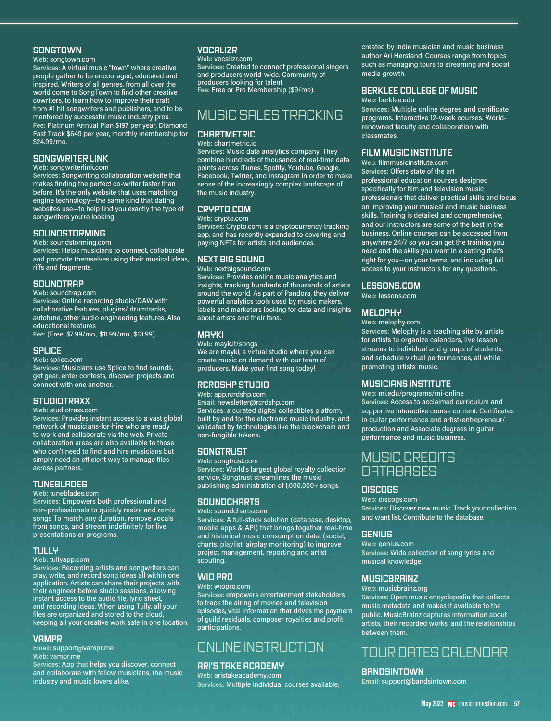#### **SONGTOWN**

#### **Web:** songtown.com

**Services:** A virtual music "town" where creative people gather to be encouraged, educated and inspired. Writers of all genres, from all over the world come to SongTown to find other creative cowriters, to learn how to improve their craft from #1 hit songwriters and publishers, and to be mentored by successful music industry pros. **Fee:** Platinum Annual Plan \$197 per year, Diamond Fast Track \$649 per year, monthly membership for \$24.99/mo.

#### **SONGWRITER LINK**

**Web:** songwriterlink.com

**Services:** Songwriting collaboration website that makes finding the perfect co-writer faster than before. It's the only website that uses matching engine technology—the same kind that dating websites use—to help find you exactly the type of songwriters you're looking.

#### **SOUNDSTORMING**

**Web:** soundstorming.com

**Services:** Helps musicians to connect, collaborate and promote themselves using their musical ideas, riffs and fragments.

#### **SOUNDTRAP**

**Web:** soundtrap.com **Services:** Online recording studio/DAW with collaborative features, plugins/ drumtracks, autotune, other audio engineering features. Also educational features **Fee:** (Free, \$7.99/mo., \$11.99/mo., \$13.99).

#### **SPLICE**

**Web:** splice.com

**Services:** Musicians use Splice to find sounds, get gear, enter contests, discover projects and connect with one another.

#### **STUDIOTRAXX**

**Web:** studiotraxx.com

**Services:** Provides instant access to a vast global network of musicians-for-hire who are ready to work and collaborate via the web. Private collaboration areas are also available to those who don't need to find and hire musicians but simply need an efficient way to manage files across partners.

#### **TUNEBLADES**

**Web:** tuneblades.com

**Services:** Empowers both professional and non-professionals to quickly resize and remix songs To match any duration, remove vocals from songs, and stream indefinitely for live presentations or programs.

#### **TULLY**

**Web:** tullyapp.com

**Services:** Recording artists and songwriters can play, write, and record song ideas all within one application. Artists can share their projects with their engineer before studio sessions, allowing instant access to the audio file, lyric sheet, and recording ideas. When using Tully, all your files are organized and stored to the cloud, keeping all your creative work safe in one location.

#### **VAMPR**

**Email:** support@vampr.me **Web:** vampr.me

**Services:** App that helps you discover, connect and collaborate with fellow musicians, the music industry and music lovers alike.

# **VOCALIZR**

**Web:** vocalizr.com **Services:** Created to connect professional singers

and producers world-wide. Community of producers looking for talent. **Fee:** Free or Pro Membership (\$9/mo).

# MUSIC SALES TRACKING

#### **CHARTMETRIC Web:** chartmetric.io

**Services:** Music data analytics company. They combine hundreds of thousands of real-time data points across iTunes, Spotify, Youtube, Google, Facebook, Twitter, and Instagram in order to make sense of the increasingly complex landscape of the music industry.

#### **CRYPTO.COM**

**Web:** crypto.com

**Services:** Crypto.com is a cryptocurrency tracking app, and has recently expanded to covering and paying NFTs for artists and audiences.

#### **NEXT BIG SOUND**

**Web:** nextbigsound.com

**Services:** Provides online music analytics and insights, tracking hundreds of thousands of artists around the world. As part of Pandora, they deliver powerful analytics tools used by music makers, labels and marketers looking for data and insights about artists and their fans.

#### **MAYKI**

**Web:** mayk.it/songs We are mayki, a virtual studio where you can create music on demand with our team of producers. Make your first song today!

#### **RCRDSHP STUDIO**

**Web:** app.rcrdshp.com **Email:** newsletter@rcrdshp.com Services: a curated digital collectibles platform, built by and for the electronic music industry, and validated by technologies like the blockchain and non-fungible tokens.

#### **SONGTRUST**

**Web:** songtrust.com **Services:** World's largest global royalty collection service, Songtrust streamlines the music publishing administration of 1,000,000+ songs.

#### **SOUNDCHARTS**

**Web:** soundcharts.com

**Services:** A full-stack solution (database, desktop, mobile apps & API) that brings together real-time and historical music consumption data, (social, charts, playlist, airplay monitoring) to improve project management, reporting and artist scouting.

#### **WIO PRO**

**Web:** wiopro.com **Services:** empowers entertainment stakeholders to track the airing of movies and television episodes, vital information that drives the payment of guild residuals, composer royalties and profit participations.

# ONLINE INSTRUCTION

#### **ARI'S TAKE ACADEMY**

**Web:** aristakeacademy.com **Services:** Multiple individual courses available, created by indie musician and music business author Ari Herstand. Courses range from topics such as managing tours to streaming and social media growth.

#### **BERKLEE COLLEGE OF MUSIC**

**Web:** berklee.edu

**Services:** Multiple online degree and certificate programs. Interactive 12-week courses. Worldrenowned faculty and collaboration with classmates.

#### **FILM MUSIC INSTITUTE**

**Web:** filmmusicinstitute.com **Services:** Offers state of the art professional education courses designed specifically for film and television music professionals that deliver practical skills and focus on improving your musical and music business skills. Training is detailed and comprehensive, and our instructors are some of the best in the business. Online courses can be accessed from anywhere 24/7 so you can get the training you need and the skills you want in a setting that's right for you—on your terms, and including full access to your instructors for any questions.

#### **LESSONS.COM**

**Web:** lessons.com

#### **MELOPHY**

**Web:** melophy.com

**Services:** Melophy is a teaching site by artists for artists to organize calendars, live lesson streams to individual and groups of students, and schedule virtual performances, all while promoting artists' music.

#### **MUSICIANS INSTITUTE**

**Web:** mi.edu/programs/mi-online **Services:** Access to acclaimed curriculum and supportive interactive course content. Certificates in guitar performance and artist/entrepreneur/ production and Associate degrees in guitar performance and music business.

# MUSIC CREDITS **DATABASES**

#### **DISCOGS**

**Web:** discogs.com **Services:** Discover new music. Track your collection and want list. Contribute to the database.

#### **GENIUS**

**Web:** genius.com **Services:** Wide collection of song lyrics and musical knowledge.

#### **MUSICBRAINZ**

**Web:** musicbrainz.org

**Services:** Open music encyclopedia that collects music metadata and makes it available to the public. MusicBrainz captures information about artists, their recorded works, and the relationships between them.

# TOUR DATES CALENDAR

#### **BANDSINTOWN**

**Email:** support@bandsintown.com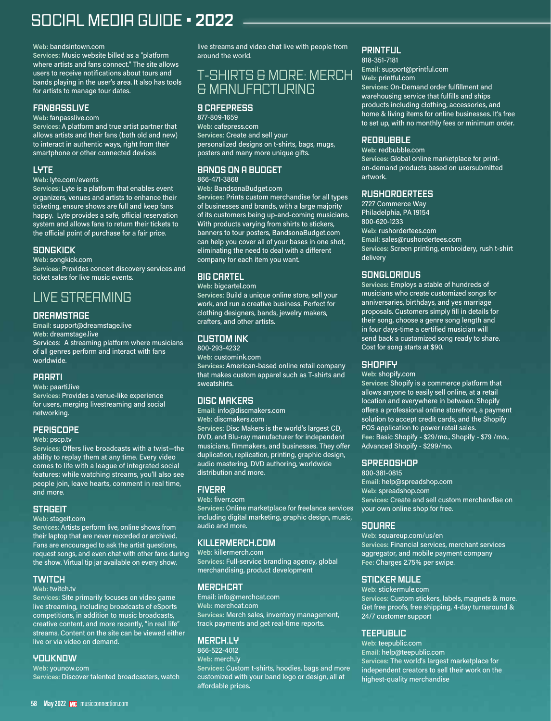# SOCIAL MEDIA GUIDE • **2022**

#### **Web:** bandsintown.com

**Services:** Music website billed as a "platform where artists and fans connect." The site allows users to receive notifications about tours and bands playing in the user's area. It also has tools for artists to manage tour dates.

#### **FANBASSLIVE**

**Web:** fanpasslive.com

**Services:** A platform and true artist partner that allows artists and their fans (both old and new) to interact in authentic ways, right from their smartphone or other connected devices

#### **LYTE**

#### **Web:** lyte.com/events

**Services:** Lyte is a platform that enables event organizers, venues and artists to enhance their ticketing, ensure shows are full and keep fans happy. Lyte provides a safe, official reservation system and allows fans to return their tickets to the official point of purchase for a fair price.

#### **SONGKICK**

**Web:** songkick.com **Services:** Provides concert discovery services and ticket sales for live music events.

# LIVE STREAMING

#### **DREAMSTAGE**

**Email:** support@dreamstage.live **Web:** dreamstage.live Services: A streaming platform where musicians of all genres perform and interact with fans worldwide.

#### **PAARTI**

**Web:** paarti.live

**Services:** Provides a venue-like experience for users, merging livestreaming and social networking.

#### **PERISCOPE**

**Web:** pscp.tv

**Services:** Offers live broadcasts with a twist—the ability to replay them at any time. Every video comes to life with a league of integrated social features: while watching streams, you'll also see people join, leave hearts, comment in real time, and more.

#### **STAGEIT**

**Web:** stageit.com

**Services:** Artists perform live, online shows from their laptop that are never recorded or archived. Fans are encouraged to ask the artist questions, request songs, and even chat with other fans during the show. Virtual tip jar available on every show.

#### **TWITCH**

#### **Web:** twitch.tv

**Services:** Site primarily focuses on video game live streaming, including broadcasts of eSports competitions, in addition to music broadcasts, creative content, and more recently, "in real life" streams. Content on the site can be viewed either live or via video on demand.

#### **YOUKNOW**

**Web:** younow.com **Services:** Discover talented broadcasters, watch live streams and video chat live with people from around the world.

# T-SHIRTS & MORE: MERCH & MANUFACTURING

# **9 CAFEPRESS**

877-809-1659 **Web:** cafepress.com **Services:** Create and sell your personalized designs on t-shirts, bags, mugs, posters and many more unique gifts.

## **BANDS ON A BUDGET**

866-471-3868

**Web:** BandsonaBudget.com **Services:** Prints custom merchandise for all types of businesses and brands, with a large majority of its customers being up-and-coming musicians. With products varying from shirts to stickers, banners to tour posters, BandsonaBudget.com can help you cover all of your bases in one shot, eliminating the need to deal with a different company for each item you want.

#### **BIG CARTEL**

**Web:** bigcartel.com **Services:** Build a unique online store, sell your work, and run a creative business. Perfect for clothing designers, bands, jewelry makers, crafters, and other artists.

## **CUSTOM INK**

800-293-4232 **Web:** customink.com **Services:** American-based online retail company that makes custom apparel such as T-shirts and sweatshirts.

# **DISC MAKERS**

**Email:** info@discmakers.com **Web:** discmakers.com **Services:** Disc Makers is the world's largest CD,

DVD, and Blu-ray manufacturer for independent musicians, filmmakers, and businesses. They offer duplication, replication, printing, graphic design, audio mastering, DVD authoring, worldwide distribution and more.

#### **FIVERR**

**Web:** fiverr.com

**Services:** Online marketplace for freelance services including digital marketing, graphic design, music, audio and more.

#### **KILLERMERCH.COM**

**Web:** killermerch.com **Services:** Full-service branding agency, global merchandising, product development

#### **MERCHCAT**

Email: info@merchcat.com **Web:** merchcat.com **Services:** Merch sales, inventory management, track payments and get real-time reports.

#### **MERCH.LY**

866-522-4012 **Web:** merch.ly **Services:** Custom t-shirts, hoodies, bags and more customized with your band logo or design, all at affordable prices.

## **PRINTFUL**

818-351-7181 **Email:** support@printful.com **Web:** printful.com **Services:** On-Demand order fulfillment and warehousing service that fulfills and ships products including clothing, accessories, and home & living items for online businesses. It's free to set up, with no monthly fees or minimum order.

#### **REDBUBBLE**

**Web:** redbubble.com **Services:** Global online marketplace for printon-demand products based on usersubmitted artwork.

#### **RUSHORDERTEES**

2727 Commerce Way Philadelphia, PA 19154 800-620-1233 **Web:** rushordertees.com **Email:** sales@rushordertees.com **Services:** Screen printing, embroidery, rush t-shirt delivery

#### **SONGLORIOUS**

**Services:** Employs a stable of hundreds of musicians who create customized songs for anniversaries, birthdays, and yes marriage proposals. Customers simply fill in details for their song, choose a genre song length and in four days-time a certified musician will send back a customized song ready to share. Cost for song starts at \$90.

#### **SHOPIFY**

**Web:** shopify.com

**Services:** Shopify is a commerce platform that allows anyone to easily sell online, at a retail location and everywhere in between. Shopify offers a professional online storefront, a payment solution to accept credit cards, and the Shopify POS application to power retail sales. **Fee:** Basic Shopify - \$29/mo., Shopify - \$79 /mo., Advanced Shopify - \$299/mo.

#### **SPREADSHOP**

800-381-0815 **Email:** help@spreadshop.com **Web:** spreadshop.com **Services:** Create and sell custom merchandise on your own online shop for free.

#### **SQUARE**

**Web:** squareup.com/us/en **Services:** Financial services, merchant services aggregator, and mobile payment company **Fee:** Charges 2.75% per swipe.

#### **STICKER MULE**

**Web:** stickermule.com **Services:** Custom stickers, labels, magnets & more. Get free proofs, free shipping, 4-day turnaround & 24/7 customer support

# **TEEPUBLIC**

**Web:** teepublic.com **Email:** help@teepublic.com **Services:** The world's largest marketplace for independent creators to sell their work on the highest-quality merchandise